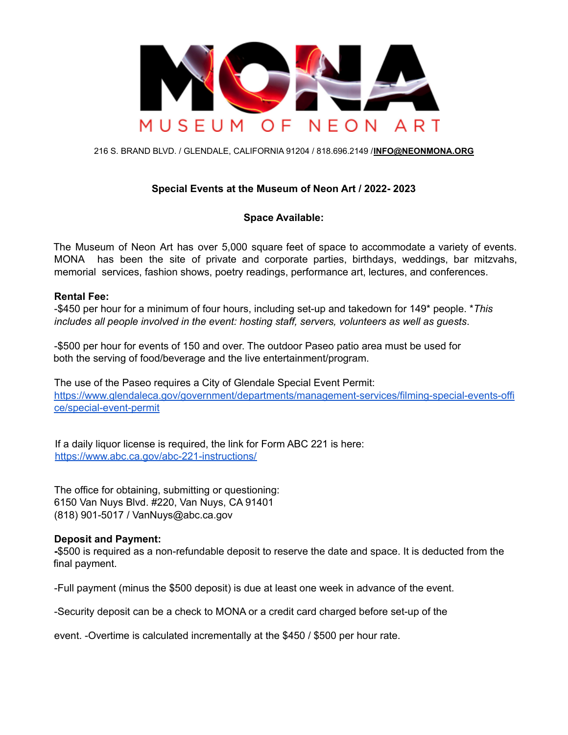

216 S. BRAND BLVD. / GLENDALE, CALIFORNIA 91204 / 818.696.2149 /**INFO@NEONMONA.ORG**

# **Special Events at the Museum of Neon Art / 2022- 2023**

## **Space Available:**

The Museum of Neon Art has over 5,000 square feet of space to accommodate a variety of events. MONA has been the site of private and corporate parties, birthdays, weddings, bar mitzvahs, memorial services, fashion shows, poetry readings, performance art, lectures, and conferences.

#### **Rental Fee:**

-\$450 per hour for a minimum of four hours, including set-up and takedown for 149\* people. \**This includes all people involved in the event: hosting staff, servers, volunteers as well as guests*.

-\$500 per hour for events of 150 and over. The outdoor Paseo patio area must be used for both the serving of food/beverage and the live entertainment/program.

The use of the Paseo requires a City of Glendale Special Event Permit: [https://www.glendaleca.gov/government/departments/management-services/filming-special-events-offi](https://www.glendaleca.gov/government/departments/management-services/filming-special-events-office/special-event-permit) [ce/special-event-permit](https://www.glendaleca.gov/government/departments/management-services/filming-special-events-office/special-event-permit)

If a daily liquor license is required, the link for Form ABC 221 is here: <https://www.abc.ca.gov/abc-221-instructions/>

The office for obtaining, submitting or questioning: 6150 Van Nuys Blvd. #220, Van Nuys, CA 91401 (818) 901-5017 / VanNuys@abc.ca.gov

## **Deposit and Payment:**

**-**\$500 is required as a non-refundable deposit to reserve the date and space. It is deducted from the final payment.

-Full payment (minus the \$500 deposit) is due at least one week in advance of the event.

-Security deposit can be a check to MONA or a credit card charged before set-up of the

event. -Overtime is calculated incrementally at the \$450 / \$500 per hour rate.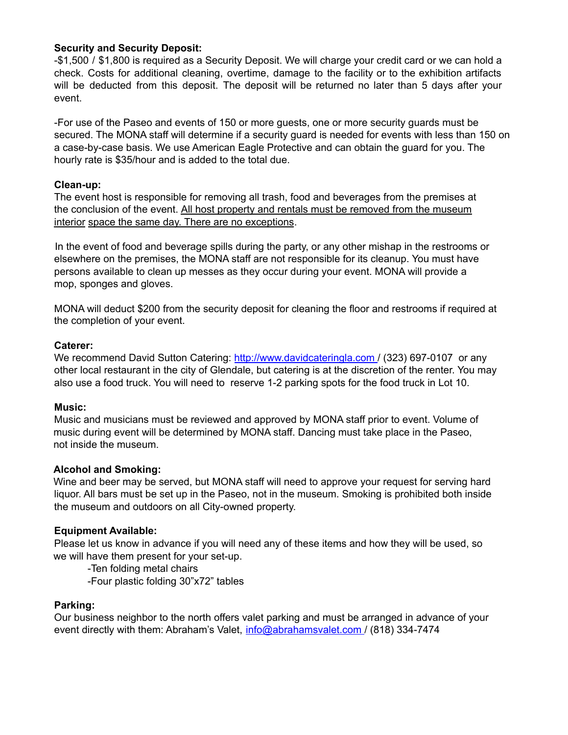## **Security and Security Deposit:**

-\$1,500 / \$1,800 is required as a Security Deposit. We will charge your credit card or we can hold a check. Costs for additional cleaning, overtime, damage to the facility or to the exhibition artifacts will be deducted from this deposit. The deposit will be returned no later than 5 days after your event.

-For use of the Paseo and events of 150 or more guests, one or more security guards must be secured. The MONA staff will determine if a security guard is needed for events with less than 150 on a case-by-case basis. We use American Eagle Protective and can obtain the guard for you. The hourly rate is \$35/hour and is added to the total due.

## **Clean-up:**

The event host is responsible for removing all trash, food and beverages from the premises at the conclusion of the event. All host property and rentals must be removed from the museum interior space the same day. There are no exceptions.

In the event of food and beverage spills during the party, or any other mishap in the restrooms or elsewhere on the premises, the MONA staff are not responsible for its cleanup. You must have persons available to clean up messes as they occur during your event. MONA will provide a mop, sponges and gloves.

MONA will deduct \$200 from the security deposit for cleaning the floor and restrooms if required at the completion of your event.

#### **Caterer:**

We recommend David Sutton Catering: http://www.davidcateringla.com / (323) 697-0107 or any other local restaurant in the city of Glendale, but catering is at the discretion of the renter. You may also use a food truck. You will need to reserve 1-2 parking spots for the food truck in Lot 10.

## **Music:**

Music and musicians must be reviewed and approved by MONA staff prior to event. Volume of music during event will be determined by MONA staff. Dancing must take place in the Paseo, not inside the museum.

## **Alcohol and Smoking:**

Wine and beer may be served, but MONA staff will need to approve your request for serving hard liquor. All bars must be set up in the Paseo, not in the museum. Smoking is prohibited both inside the museum and outdoors on all City-owned property.

## **Equipment Available:**

Please let us know in advance if you will need any of these items and how they will be used, so we will have them present for your set-up.

-Ten folding metal chairs

-Four plastic folding 30"x72" tables

## **Parking:**

Our business neighbor to the north offers valet parking and must be arranged in advance of your event directly with them: Abraham's Valet, info@abrahamsvalet.com / (818) 334-7474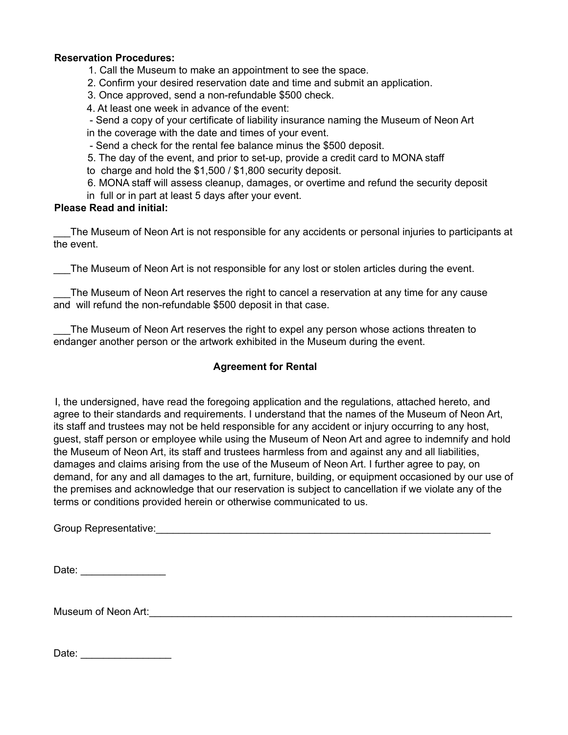### **Reservation Procedures:**

1. Call the Museum to make an appointment to see the space.

- 2. Confirm your desired reservation date and time and submit an application.
- 3. Once approved, send a non-refundable \$500 check.
- 4. At least one week in advance of the event:

- Send a copy of your certificate of liability insurance naming the Museum of Neon Art

in the coverage with the date and times of your event.

- Send a check for the rental fee balance minus the \$500 deposit.

5. The day of the event, and prior to set-up, provide a credit card to MONA staff

to charge and hold the \$1,500 / \$1,800 security deposit.

- 6. MONA staff will assess cleanup, damages, or overtime and refund the security deposit
- in full or in part at least 5 days after your event.

## **Please Read and initial:**

The Museum of Neon Art is not responsible for any accidents or personal injuries to participants at the event.

The Museum of Neon Art is not responsible for any lost or stolen articles during the event.

The Museum of Neon Art reserves the right to cancel a reservation at any time for any cause and will refund the non-refundable \$500 deposit in that case.

The Museum of Neon Art reserves the right to expel any person whose actions threaten to endanger another person or the artwork exhibited in the Museum during the event.

# **Agreement for Rental**

I, the undersigned, have read the foregoing application and the regulations, attached hereto, and agree to their standards and requirements. I understand that the names of the Museum of Neon Art, its staff and trustees may not be held responsible for any accident or injury occurring to any host, guest, staff person or employee while using the Museum of Neon Art and agree to indemnify and hold the Museum of Neon Art, its staff and trustees harmless from and against any and all liabilities, damages and claims arising from the use of the Museum of Neon Art. I further agree to pay, on demand, for any and all damages to the art, furniture, building, or equipment occasioned by our use of the premises and acknowledge that our reservation is subject to cancellation if we violate any of the terms or conditions provided herein or otherwise communicated to us.

Group Representative:\_\_\_\_\_\_\_\_\_\_\_\_\_\_\_\_\_\_\_\_\_\_\_\_\_\_\_\_\_\_\_\_\_\_\_\_\_\_\_\_\_\_\_\_\_\_\_\_\_\_\_\_\_\_\_\_\_\_\_

Date: \_\_\_\_\_\_\_\_\_\_\_\_\_\_\_

Museum of Neon Art: **Example 20** and the set of  $\mathcal{A}$ 

| Date: |  |  |  |  |
|-------|--|--|--|--|
|       |  |  |  |  |